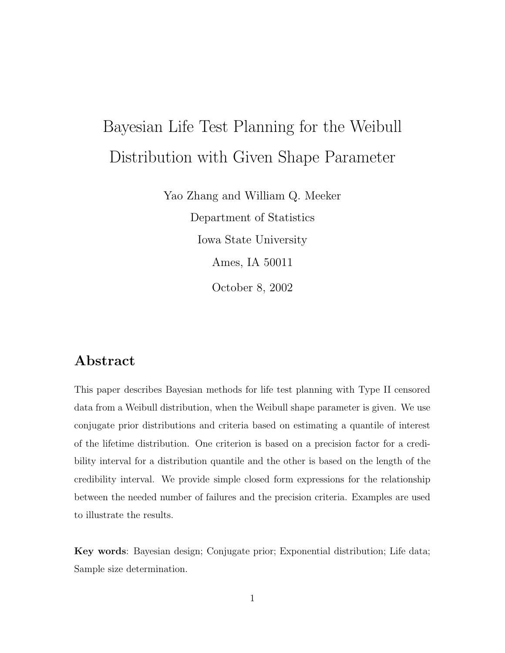# Bayesian Life Test Planning for the Weibull  $D$  is the state shape  $D$  is the shape  $P$  is the shape  $D$

Yao Zhang and William Q. Meeker Department of Statistics Iowa State University Ames, IA 50011 October 8, 2002

## **Abstract**

This paper describes Bayesian methods for life test planning with Type II censored data from a Weibull distribution, when the Weibull shape parameter is given. We use conjugate prior distributions and criteria based on estimating a quantile of interest of the lifetime distribution. One criterion is based on a precision factor for a credibility interval for a distribution quantile and the other is based on the length of the credibility interval. We provide simple closed form expressions for the relationship between the needed number of failures and the precision criteria. Examples are used to illustrate the results.

**Key words**: Bayesian design; Conjugate prior; Exponential distribution; Life data; Sample size determination.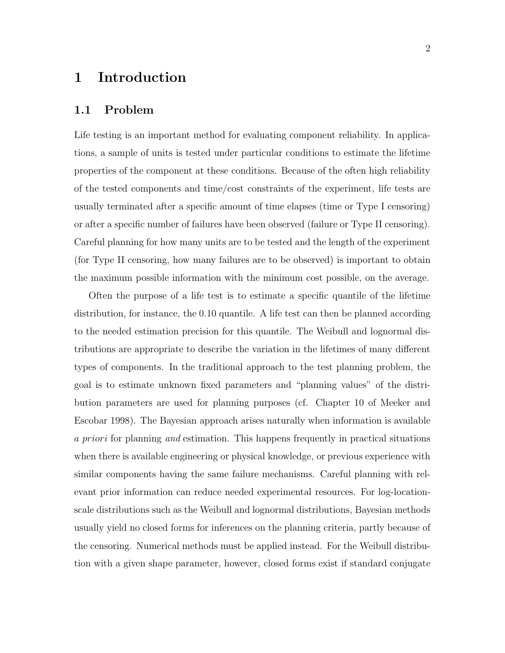### **1 Introduction**

#### **1.1 Problem**

Life testing is an important method for evaluating component reliability. In applications, a sample of units is tested under particular conditions to estimate the lifetime properties of the component at these conditions. Because of the often high reliability of the tested components and time/cost constraints of the experiment, life tests are usually terminated after a specific amount of time elapses (time or Type I censoring) or after a specific number of failures have been observed (failure or Type II censoring). Careful planning for how many units are to be tested and the length of the experiment (for Type II censoring, how many failures are to be observed) is important to obtain the maximum possible information with the minimum cost possible, on the average.

Often the purpose of a life test is to estimate a specific quantile of the lifetime distribution, for instance, the 0.10 quantile. A life test can then be planned according to the needed estimation precision for this quantile. The Weibull and lognormal distributions are appropriate to describe the variation in the lifetimes of many different types of components. In the traditional approach to the test planning problem, the goal is to estimate unknown fixed parameters and "planning values" of the distribution parameters are used for planning purposes (cf. Chapter 10 of Meeker and Escobar 1998). The Bayesian approach arises naturally when information is available a priori for planning *and* estimation. This happens frequently in practical situations when there is available engineering or physical knowledge, or previous experience with similar components having the same failure mechanisms. Careful planning with relevant prior information can reduce needed experimental resources. For log-locationscale distributions such as the Weibull and lognormal distributions, Bayesian methods usually yield no closed forms for inferences on the planning criteria, partly because of the censoring. Numerical methods must be applied instead. For the Weibull distribution with a given shape parameter, however, closed forms exist if standard conjugate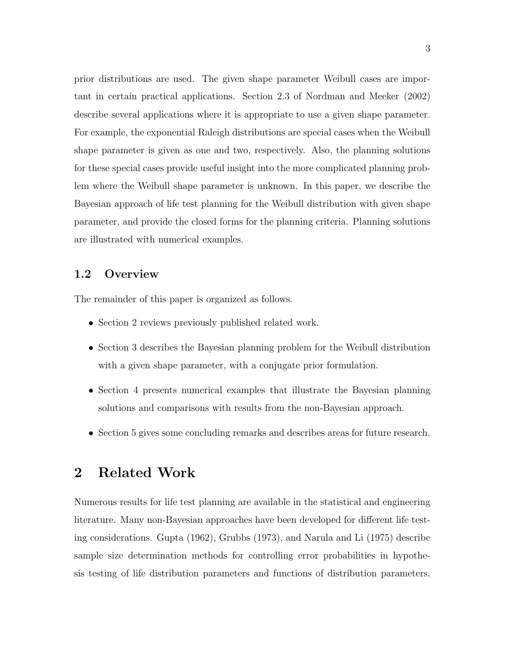prior distributions are used. The given shape parameter Weibull cases are important in certain practical applications. Section 2.3 of Nordman and Meeker (2002) describe several applications where it is appropriate to use a given shape parameter. For example, the exponential Raleigh distributions are special cases when the Weibull shape parameter is given as one and two, respectively. Also, the planning solutions for these special cases provide useful insight into the more complicated planning problem where the Weibull shape parameter is unknown. In this paper, we describe the Bayesian approach of life test planning for the Weibull distribution with given shape parameter, and provide the closed forms for the planning criteria. Planning solutions are illustrated with numerical examples.

#### **1.2 Overview**

The remainder of this paper is organized as follows.

- Section 2 reviews previously published related work.
- Section 3 describes the Bayesian planning problem for the Weibull distribution with a given shape parameter, with a conjugate prior formulation.
- Section 4 presents numerical examples that illustrate the Bayesian planning solutions and comparisons with results from the non-Bayesian approach.
- Section 5 gives some concluding remarks and describes areas for future research.

## **2 Related Work**

Numerous results for life test planning are available in the statistical and engineering literature. Many non-Bayesian approaches have been developed for different life testing considerations. Gupta (1962), Grubbs (1973), and Narula and Li (1975) describe sample size determination methods for controlling error probabilities in hypothesis testing of life distribution parameters and functions of distribution parameters.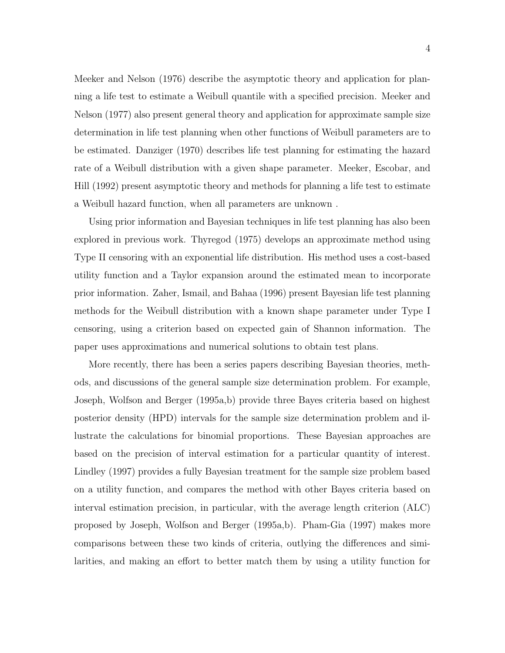Meeker and Nelson (1976) describe the asymptotic theory and application for planning a life test to estimate a Weibull quantile with a specified precision. Meeker and Nelson (1977) also present general theory and application for approximate sample size determination in life test planning when other functions of Weibull parameters are to be estimated. Danziger (1970) describes life test planning for estimating the hazard rate of a Weibull distribution with a given shape parameter. Meeker, Escobar, and Hill (1992) present asymptotic theory and methods for planning a life test to estimate a Weibull hazard function, when all parameters are unknown .

Using prior information and Bayesian techniques in life test planning has also been explored in previous work. Thyregod (1975) develops an approximate method using Type II censoring with an exponential life distribution. His method uses a cost-based utility function and a Taylor expansion around the estimated mean to incorporate prior information. Zaher, Ismail, and Bahaa (1996) present Bayesian life test planning methods for the Weibull distribution with a known shape parameter under Type I censoring, using a criterion based on expected gain of Shannon information. The paper uses approximations and numerical solutions to obtain test plans.

More recently, there has been a series papers describing Bayesian theories, methods, and discussions of the general sample size determination problem. For example, Joseph, Wolfson and Berger (1995a,b) provide three Bayes criteria based on highest posterior density (HPD) intervals for the sample size determination problem and illustrate the calculations for binomial proportions. These Bayesian approaches are based on the precision of interval estimation for a particular quantity of interest. Lindley (1997) provides a fully Bayesian treatment for the sample size problem based on a utility function, and compares the method with other Bayes criteria based on interval estimation precision, in particular, with the average length criterion (ALC) proposed by Joseph, Wolfson and Berger (1995a,b). Pham-Gia (1997) makes more comparisons between these two kinds of criteria, outlying the differences and similarities, and making an effort to better match them by using a utility function for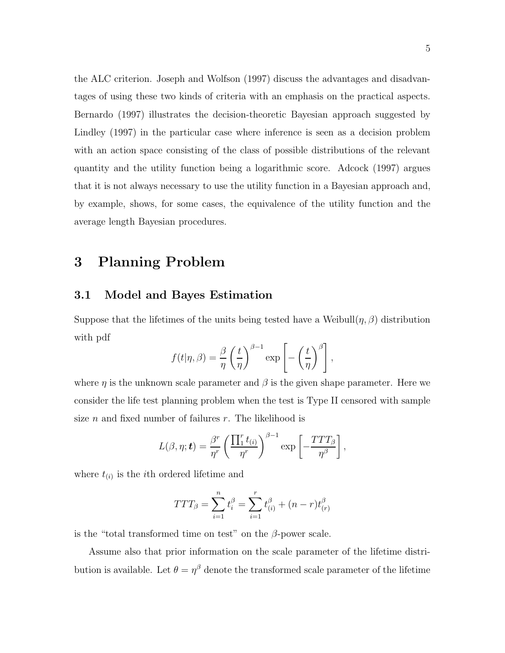the ALC criterion. Joseph and Wolfson (1997) discuss the advantages and disadvantages of using these two kinds of criteria with an emphasis on the practical aspects. Bernardo (1997) illustrates the decision-theoretic Bayesian approach suggested by Lindley (1997) in the particular case where inference is seen as a decision problem with an action space consisting of the class of possible distributions of the relevant quantity and the utility function being a logarithmic score. Adcock (1997) argues that it is not always necessary to use the utility function in a Bayesian approach and, by example, shows, for some cases, the equivalence of the utility function and the average length Bayesian procedures.

## **3 Planning Problem**

#### **3.1 Model and Bayes Estimation**

Suppose that the lifetimes of the units being tested have a Weibull $(\eta, \beta)$  distribution with pdf

$$
f(t|\eta,\beta) = \frac{\beta}{\eta} \left(\frac{t}{\eta}\right)^{\beta-1} \exp\left[-\left(\frac{t}{\eta}\right)^{\beta}\right],
$$

where  $\eta$  is the unknown scale parameter and  $\beta$  is the given shape parameter. Here we consider the life test planning problem when the test is Type II censored with sample size *n* and fixed number of failures  $r$ . The likelihood is

$$
L(\beta, \eta; \mathbf{t}) = \frac{\beta^r}{\eta^r} \left( \frac{\prod_1^r t_{(i)}}{\eta^r} \right)^{\beta - 1} \exp \left[ -\frac{TTT_\beta}{\eta^\beta} \right],
$$

where  $t_{(i)}$  is the *i*<sup>th</sup> ordered lifetime and

$$
TTT_{\beta} = \sum_{i=1}^{n} t_i^{\beta} = \sum_{i=1}^{r} t_{(i)}^{\beta} + (n-r)t_{(r)}^{\beta}
$$

is the "total transformed time on test" on the  $\beta$ -power scale.

Assume also that prior information on the scale parameter of the lifetime distribution is available. Let  $\theta = \eta^{\beta}$  denote the transformed scale parameter of the lifetime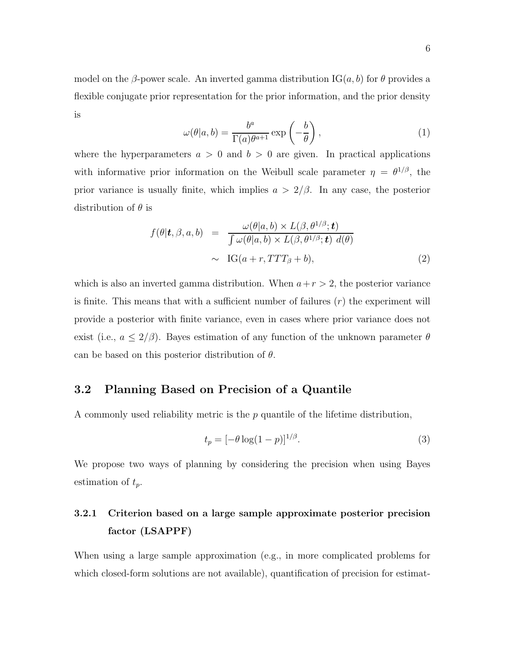model on the β-power scale. An inverted gamma distribution  $\text{IG}(a, b)$  for  $\theta$  provides a flexible conjugate prior representation for the prior information, and the prior density is

$$
\omega(\theta|a,b) = \frac{b^a}{\Gamma(a)\theta^{a+1}} \exp\left(-\frac{b}{\theta}\right),\tag{1}
$$

where the hyperparameters  $a > 0$  and  $b > 0$  are given. In practical applications with informative prior information on the Weibull scale parameter  $\eta = \theta^{1/\beta}$ , the prior variance is usually finite, which implies  $a > 2/\beta$ . In any case, the posterior distribution of  $\theta$  is

$$
f(\theta | \mathbf{t}, \beta, a, b) = \frac{\omega(\theta | a, b) \times L(\beta, \theta^{1/\beta}; \mathbf{t})}{\int \omega(\theta | a, b) \times L(\beta, \theta^{1/\beta}; \mathbf{t}) d(\theta)} \sim \text{IG}(a + r, TTT_{\beta} + b), \tag{2}
$$

which is also an inverted gamma distribution. When  $a+r > 2$ , the posterior variance is finite. This means that with a sufficient number of failures  $(r)$  the experiment will provide a posterior with finite variance, even in cases where prior variance does not exist (i.e.,  $a \leq 2/\beta$ ). Bayes estimation of any function of the unknown parameter  $\theta$ can be based on this posterior distribution of  $\theta$ .

#### **3.2 Planning Based on Precision of a Quantile**

A commonly used reliability metric is the  $p$  quantile of the lifetime distribution,

$$
t_p = \left[-\theta \log(1-p)\right]^{1/\beta}.\tag{3}
$$

We propose two ways of planning by considering the precision when using Bayes estimation of  $t_p$ .

## **3.2.1 Criterion based on a large sample approximate posterior precision factor (LSAPPF)**

When using a large sample approximation (e.g., in more complicated problems for which closed-form solutions are not available), quantification of precision for estimat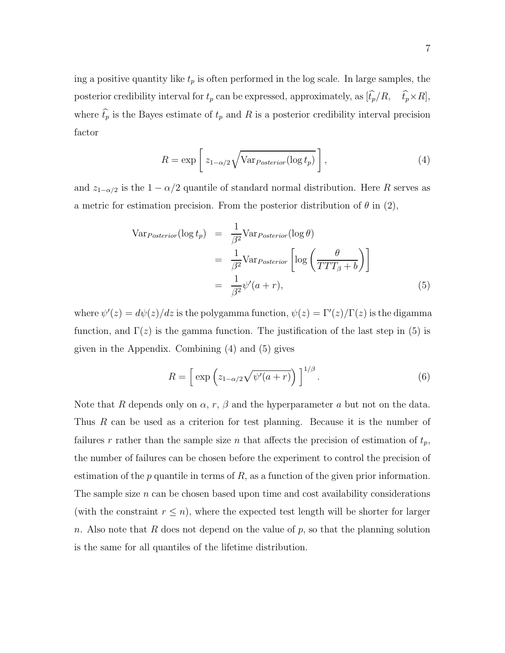ing a positive quantity like  $t_p$  is often performed in the log scale. In large samples, the posterior credibility interval for  $t_p$  can be expressed, approximately, as  $[\hat{t}_p/R, \quad \hat{t}_p \times R]$ , where  $\widehat{t}_p$  is the Bayes estimate of  $t_p$  and R is a posterior credibility interval precision factor

$$
R = \exp\left[z_{1-\alpha/2}\sqrt{\text{Var}_{Posterior}(\log t_p)}\right],\tag{4}
$$

and  $z_{1-\alpha/2}$  is the  $1-\alpha/2$  quantile of standard normal distribution. Here R serves as a metric for estimation precision. From the posterior distribution of  $\theta$  in (2),

$$
\begin{aligned}\n\text{Var}_{Posterior}(\log t_p) &= \frac{1}{\beta^2} \text{Var}_{Posterior}(\log \theta) \\
&= \frac{1}{\beta^2} \text{Var}_{Posterior} \left[ \log \left( \frac{\theta}{TTT_\beta + b} \right) \right] \\
&= \frac{1}{\beta^2} \psi'(a+r),\n\end{aligned} \tag{5}
$$

where  $\psi'(z) = d\psi(z)/dz$  is the polygamma function,  $\psi(z) = \Gamma'(z)/\Gamma(z)$  is the digamma function, and  $\Gamma(z)$  is the gamma function. The justification of the last step in (5) is given in the Appendix. Combining (4) and (5) gives

$$
R = \left[ \exp\left( z_{1-\alpha/2} \sqrt{\psi'(a+r)} \right) \right]^{1/\beta} . \tag{6}
$$

Note that R depends only on  $\alpha$ , r,  $\beta$  and the hyperparameter a but not on the data. Thus R can be used as a criterion for test planning. Because it is the number of failures r rather than the sample size n that affects the precision of estimation of  $t_p$ , the number of failures can be chosen before the experiment to control the precision of estimation of the  $p$  quantile in terms of  $R$ , as a function of the given prior information. The sample size  $n$  can be chosen based upon time and cost availability considerations (with the constraint  $r \leq n$ ), where the expected test length will be shorter for larger n. Also note that  $R$  does not depend on the value of  $p$ , so that the planning solution is the same for all quantiles of the lifetime distribution.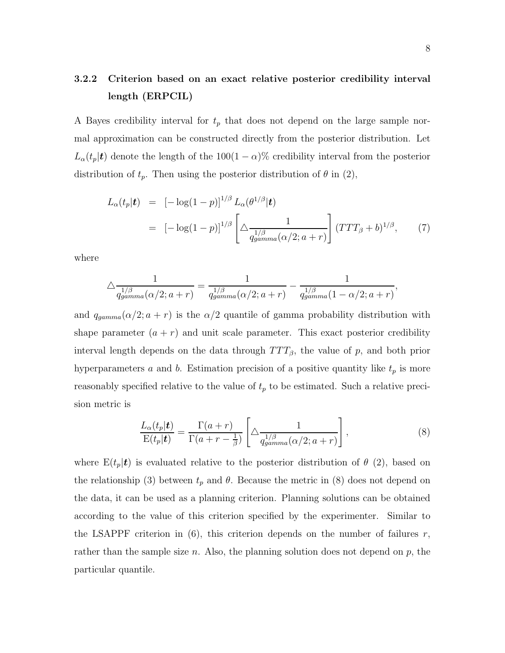## **3.2.2 Criterion based on an exact relative posterior credibility interval length (ERPCIL)**

A Bayes credibility interval for  $t_p$  that does not depend on the large sample normal approximation can be constructed directly from the posterior distribution. Let  $L_{\alpha}(t_p|\mathbf{t})$  denote the length of the 100(1 –  $\alpha$ )% credibility interval from the posterior distribution of  $t_p$ . Then using the posterior distribution of  $\theta$  in (2),

$$
L_{\alpha}(t_p|\mathbf{t}) = [-\log(1-p)]^{1/\beta} L_{\alpha}(\theta^{1/\beta}|\mathbf{t})
$$
  
= 
$$
[-\log(1-p)]^{1/\beta} \left[\Delta \frac{1}{q_{gamma}^{1/\beta}(\alpha/2; a+r)}\right] (TTT_{\beta} + b)^{1/\beta}, \qquad (7)
$$

where

$$
\Delta \frac{1}{q_{gamma}^{1/\beta}(\alpha/2; a+r)} = \frac{1}{q_{gamma}^{1/\beta}(\alpha/2; a+r)} - \frac{1}{q_{gamma}^{1/\beta}(\alpha/2; a+r)},
$$

and  $q_{gamma}(\alpha/2; a + r)$  is the  $\alpha/2$  quantile of gamma probability distribution with shape parameter  $(a + r)$  and unit scale parameter. This exact posterior credibility interval length depends on the data through  $TTT_{\beta}$ , the value of p, and both prior hyperparameters a and b. Estimation precision of a positive quantity like  $t_p$  is more reasonably specified relative to the value of  $t_p$  to be estimated. Such a relative precision metric is

$$
\frac{L_{\alpha}(t_p|\mathbf{t})}{\mathrm{E}(t_p|\mathbf{t})} = \frac{\Gamma(a+r)}{\Gamma(a+r-\frac{1}{\beta})} \left[ \Delta \frac{1}{q_{gamma}^{1/\beta}(\alpha/2; a+r)} \right],\tag{8}
$$

where  $E(t_p|t)$  is evaluated relative to the posterior distribution of  $\theta$  (2), based on the relationship (3) between  $t_p$  and  $\theta$ . Because the metric in (8) does not depend on the data, it can be used as a planning criterion. Planning solutions can be obtained according to the value of this criterion specified by the experimenter. Similar to the LSAPPF criterion in  $(6)$ , this criterion depends on the number of failures r, rather than the sample size n. Also, the planning solution does not depend on  $p$ , the particular quantile.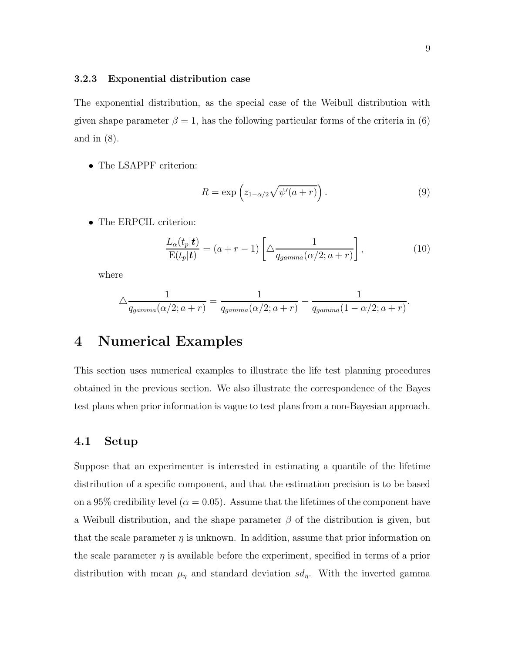The exponential distribution, as the special case of the Weibull distribution with given shape parameter  $\beta = 1$ , has the following particular forms of the criteria in (6) and in (8).

• The LSAPPF criterion:

$$
R = \exp\left(z_{1-\alpha/2}\sqrt{\psi'(a+r)}\right). \tag{9}
$$

• The ERPCIL criterion:

$$
\frac{L_{\alpha}(t_p|\mathbf{t})}{\mathrm{E}(t_p|\mathbf{t})} = (a+r-1) \left[ \Delta \frac{1}{q_{gamma}(\alpha/2; a+r)} \right],\tag{10}
$$

where

$$
\Delta \frac{1}{q_{gamma}(\alpha/2; a+r)} = \frac{1}{q_{gamma}(\alpha/2; a+r)} - \frac{1}{q_{gamma}(\alpha-1-\alpha/2; a+r)}.
$$

## **4 Numerical Examples**

This section uses numerical examples to illustrate the life test planning procedures obtained in the previous section. We also illustrate the correspondence of the Bayes test plans when prior information is vague to test plans from a non-Bayesian approach.

#### **4.1 Setup**

Suppose that an experimenter is interested in estimating a quantile of the lifetime distribution of a specific component, and that the estimation precision is to be based on a 95% credibility level ( $\alpha = 0.05$ ). Assume that the lifetimes of the component have a Weibull distribution, and the shape parameter  $\beta$  of the distribution is given, but that the scale parameter  $\eta$  is unknown. In addition, assume that prior information on the scale parameter  $\eta$  is available before the experiment, specified in terms of a prior distribution with mean  $\mu_{\eta}$  and standard deviation  $sd_{\eta}$ . With the inverted gamma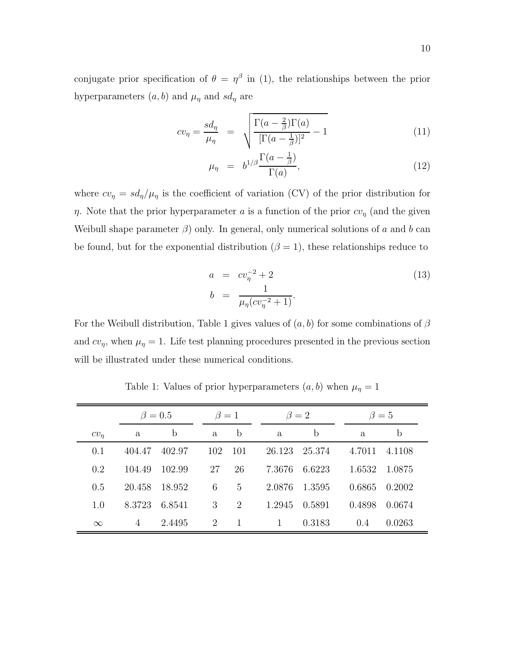conjugate prior specification of  $\theta = \eta^{\beta}$  in (1), the relationships between the prior hyperparameters  $(a, b)$  and  $\mu_{\eta}$  and  $sd_{\eta}$  are

$$
cv_{\eta} = \frac{sd_{\eta}}{\mu_{\eta}} = \sqrt{\frac{\Gamma(a - \frac{2}{\beta})\Gamma(a)}{[\Gamma(a - \frac{1}{\beta})]^2} - 1}
$$
(11)

$$
\mu_{\eta} = b^{1/\beta} \frac{\Gamma(a - \frac{1}{\beta})}{\Gamma(a)}, \tag{12}
$$

where  $cv_{\eta} = sd_{\eta}/\mu_{\eta}$  is the coefficient of variation (CV) of the prior distribution for η. Note that the prior hyperparameter a is a function of the prior  $cv_{\eta}$  (and the given Weibull shape parameter  $\beta$ ) only. In general, only numerical solutions of a and b can be found, but for the exponential distribution ( $\beta = 1$ ), these relationships reduce to

$$
a = cv_{\eta}^{-2} + 2
$$
  
\n
$$
b = \frac{1}{\mu_{\eta}(cv_{\eta}^{-2} + 1)}.
$$
\n(13)

For the Weibull distribution, Table 1 gives values of  $(a, b)$  for some combinations of  $\beta$ and  $cv_{\eta}$ , when  $\mu_{\eta} = 1$ . Life test planning procedures presented in the previous section will be illustrated under these numerical conditions.

|          | $\beta = 0.5$ |        | $\beta=1$ |                | $\beta = 2$ |        | $\beta = 5$ |        |  |
|----------|---------------|--------|-----------|----------------|-------------|--------|-------------|--------|--|
| $cv_n$   | a             | b      | a         | $\mathbf b$    | a.          | b      | a.          | b      |  |
| 0.1      | 404.47        | 402.97 | 102       | 101            | 26.123      | 25.374 | 4.7011      | 4.1108 |  |
| 0.2      | 104.49        | 102.99 | 27        | 26             | 7.3676      | 6.6223 | 1.6532      | 1.0875 |  |
| 0.5      | 20.458        | 18.952 | 6         | 5              | 2.0876      | 1.3595 | 0.6865      | 0.2002 |  |
| 1.0      | 8.3723        | 6.8541 | 3         | $\mathcal{D}$  | 1.2945      | 0.5891 | 0.4898      | 0.0674 |  |
| $\infty$ | 4             | 2.4495 | 2         | $\overline{1}$ |             | 0.3183 | (0.4)       | 0.0263 |  |

Table 1: Values of prior hyperparameters  $(a, b)$  when  $\mu_{\eta} = 1$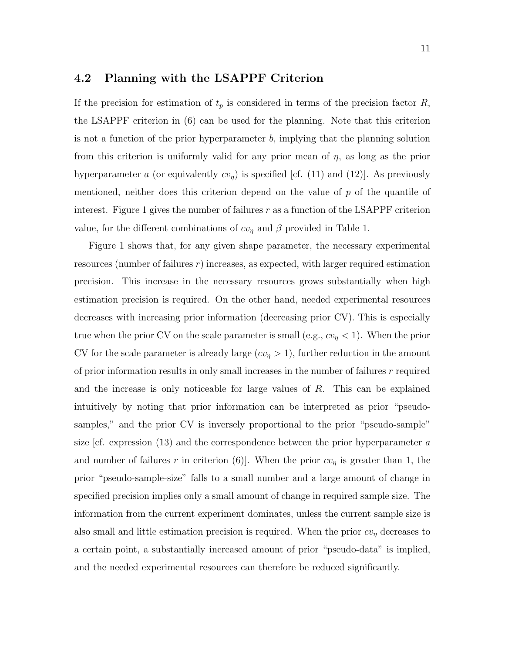#### **4.2 Planning with the LSAPPF Criterion**

If the precision for estimation of  $t_p$  is considered in terms of the precision factor R, the LSAPPF criterion in (6) can be used for the planning. Note that this criterion is not a function of the prior hyperparameter  $b$ , implying that the planning solution from this criterion is uniformly valid for any prior mean of  $\eta$ , as long as the prior hyperparameter a (or equivalently  $cv_{\eta}$ ) is specified [cf. (11) and (12)]. As previously mentioned, neither does this criterion depend on the value of  $p$  of the quantile of interest. Figure 1 gives the number of failures  $r$  as a function of the LSAPPF criterion value, for the different combinations of  $cv_{\eta}$  and  $\beta$  provided in Table 1.

Figure 1 shows that, for any given shape parameter, the necessary experimental resources (number of failures  $r$ ) increases, as expected, with larger required estimation precision. This increase in the necessary resources grows substantially when high estimation precision is required. On the other hand, needed experimental resources decreases with increasing prior information (decreasing prior CV). This is especially true when the prior CV on the scale parameter is small (e.g.,  $cv_{\eta} < 1$ ). When the prior CV for the scale parameter is already large  $(cv_n > 1)$ , further reduction in the amount of prior information results in only small increases in the number of failures  $r$  required and the increase is only noticeable for large values of R. This can be explained intuitively by noting that prior information can be interpreted as prior "pseudosamples," and the prior CV is inversely proportional to the prior "pseudo-sample" size  $cf.$  expression (13) and the correspondence between the prior hyperparameter  $a$ and number of failures r in criterion (6). When the prior  $cv_{\eta}$  is greater than 1, the prior "pseudo-sample-size" falls to a small number and a large amount of change in specified precision implies only a small amount of change in required sample size. The information from the current experiment dominates, unless the current sample size is also small and little estimation precision is required. When the prior  $cv<sub>\eta</sub>$  decreases to a certain point, a substantially increased amount of prior "pseudo-data" is implied, and the needed experimental resources can therefore be reduced significantly.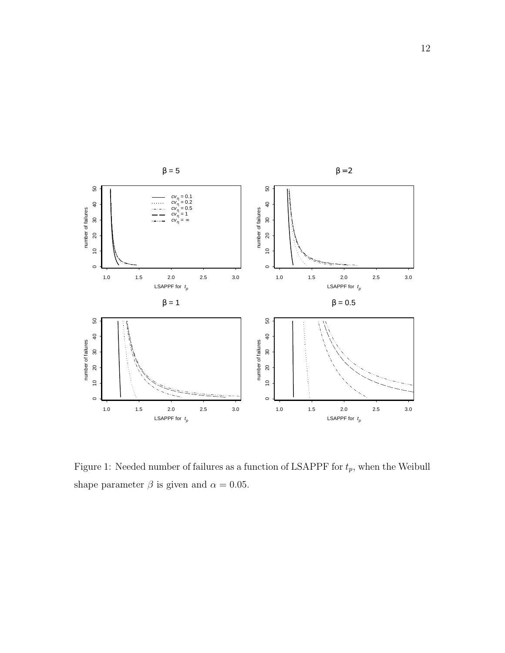

Figure 1: Needed number of failures as a function of LSAPPF for  $t_p$ , when the Weibull shape parameter  $\beta$  is given and  $\alpha = 0.05$ .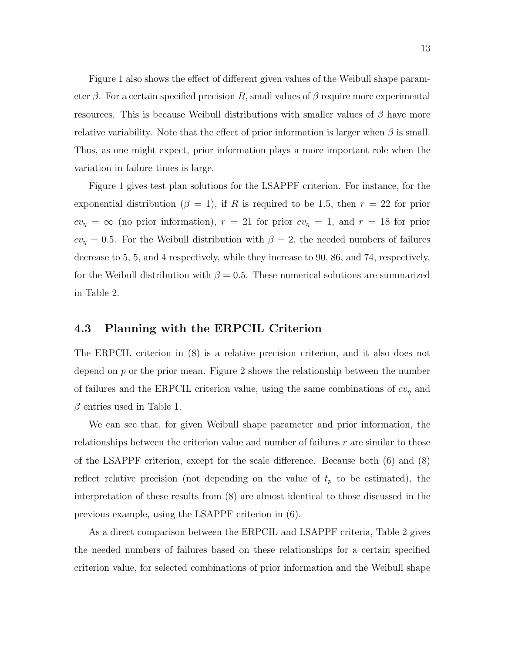Figure 1 also shows the effect of different given values of the Weibull shape parameter  $\beta$ . For a certain specified precision R, small values of  $\beta$  require more experimental resources. This is because Weibull distributions with smaller values of  $\beta$  have more relative variability. Note that the effect of prior information is larger when  $\beta$  is small. Thus, as one might expect, prior information plays a more important role when the variation in failure times is large.

Figure 1 gives test plan solutions for the LSAPPF criterion. For instance, for the exponential distribution ( $\beta = 1$ ), if R is required to be 1.5, then  $r = 22$  for prior  $cv_{\eta} = \infty$  (no prior information),  $r = 21$  for prior  $cv_{\eta} = 1$ , and  $r = 18$  for prior  $cv_{\eta} = 0.5$ . For the Weibull distribution with  $\beta = 2$ , the needed numbers of failures decrease to 5, 5, and 4 respectively, while they increase to 90, 86, and 74, respectively, for the Weibull distribution with  $\beta = 0.5$ . These numerical solutions are summarized in Table 2.

#### **4.3 Planning with the ERPCIL Criterion**

The ERPCIL criterion in (8) is a relative precision criterion, and it also does not depend on  $p$  or the prior mean. Figure 2 shows the relationship between the number of failures and the ERPCIL criterion value, using the same combinations of  $cv<sub>\eta</sub>$  and  $\beta$  entries used in Table 1.

We can see that, for given Weibull shape parameter and prior information, the relationships between the criterion value and number of failures  $r$  are similar to those of the LSAPPF criterion, except for the scale difference. Because both (6) and (8) reflect relative precision (not depending on the value of  $t_p$  to be estimated), the interpretation of these results from (8) are almost identical to those discussed in the previous example, using the LSAPPF criterion in (6).

As a direct comparison between the ERPCIL and LSAPPF criteria, Table 2 gives the needed numbers of failures based on these relationships for a certain specified criterion value, for selected combinations of prior information and the Weibull shape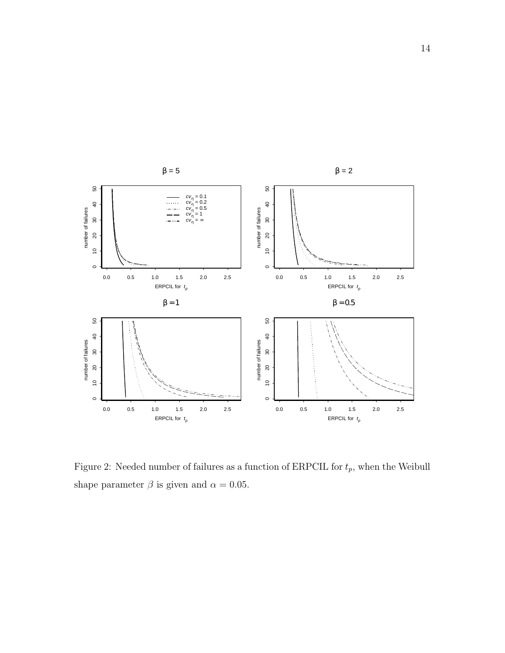

Figure 2: Needed number of failures as a function of ERPCIL for  $t_p$ , when the Weibull shape parameter  $\beta$  is given and  $\alpha = 0.05$ .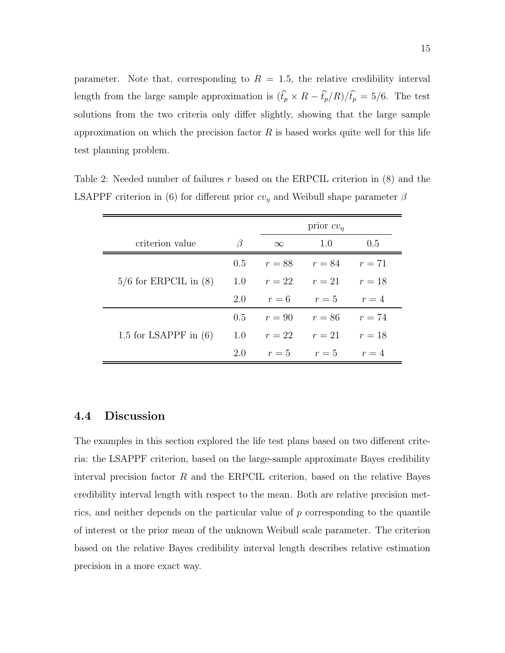parameter. Note that, corresponding to  $R = 1.5$ , the relative credibility interval length from the large sample approximation is  $(\hat{t}_p \times R - \hat{t}_p/R)/\hat{t}_p = 5/6$ . The test solutions from the two criteria only differ slightly, showing that the large sample approximation on which the precision factor  $R$  is based works quite well for this life test planning problem.

|                           |         |          | prior $cv_n$                   |     |
|---------------------------|---------|----------|--------------------------------|-----|
| criterion value           | $\beta$ | $\infty$ | 1.0                            | 0.5 |
|                           |         |          | 0.5 $r = 88$ $r = 84$ $r = 71$ |     |
| $5/6$ for ERPCIL in $(8)$ | 1.0     |          | $r = 22$ $r = 21$ $r = 18$     |     |
|                           | 2.0     | $r=6$    | $r=5$ $r=4$                    |     |
|                           | 0.5     |          | $r = 90$ $r = 86$ $r = 74$     |     |
| 1.5 for LSAPPF in $(6)$   |         |          | 1.0 $r = 22$ $r = 21$ $r = 18$ |     |
|                           | 2.0     |          | $r=5$ $r=5$ $r=4$              |     |

Table 2: Needed number of failures r based on the ERPCIL criterion in  $(8)$  and the LSAPPF criterion in (6) for different prior  $cv_{\eta}$  and Weibull shape parameter  $\beta$ 

#### **4.4 Discussion**

The examples in this section explored the life test plans based on two different criteria: the LSAPPF criterion, based on the large-sample approximate Bayes credibility interval precision factor  $R$  and the ERPCIL criterion, based on the relative Bayes credibility interval length with respect to the mean. Both are relative precision metrics, and neither depends on the particular value of  $p$  corresponding to the quantile of interest or the prior mean of the unknown Weibull scale parameter. The criterion based on the relative Bayes credibility interval length describes relative estimation precision in a more exact way.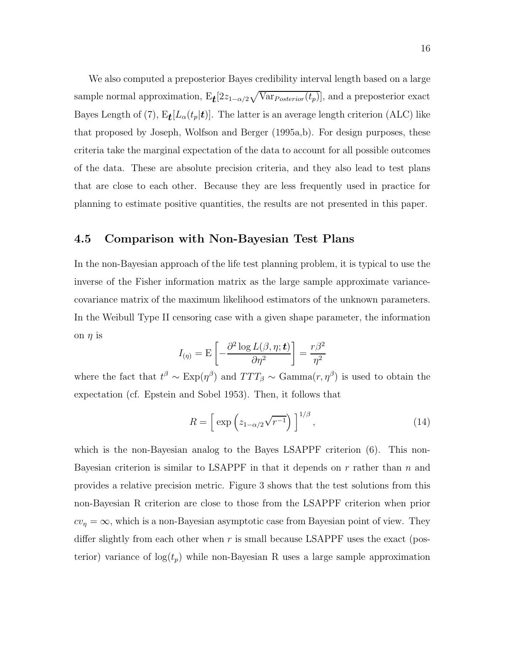We also computed a preposterior Bayes credibility interval length based on a large sample normal approximation,  $E_t[2z_{1-\alpha/2}\sqrt{Var_{Posterior}(t_p)}]$ , and a preposterior exact Bayes Length of (7),  $E_{\mathbf{t}}[L_{\alpha}(t_{p}|\mathbf{t})]$ . The latter is an average length criterion (ALC) like that proposed by Joseph, Wolfson and Berger (1995a,b). For design purposes, these criteria take the marginal expectation of the data to account for all possible outcomes of the data. These are absolute precision criteria, and they also lead to test plans that are close to each other. Because they are less frequently used in practice for planning to estimate positive quantities, the results are not presented in this paper.

#### **4.5 Comparison with Non-Bayesian Test Plans**

In the non-Bayesian approach of the life test planning problem, it is typical to use the inverse of the Fisher information matrix as the large sample approximate variancecovariance matrix of the maximum likelihood estimators of the unknown parameters. In the Weibull Type II censoring case with a given shape parameter, the information on  $\eta$  is

$$
I_{(\eta)} = \mathrm{E}\left[-\frac{\partial^2 \log L(\beta, \eta; \mathbf{t})}{\partial \eta^2}\right] = \frac{r\beta^2}{\eta^2}
$$

where the fact that  $t^{\beta} \sim \text{Exp}(\eta^{\beta})$  and  $TTT_{\beta} \sim \text{Gamma}(r, \eta^{\beta})$  is used to obtain the expectation (cf. Epstein and Sobel 1953). Then, it follows that

$$
R = \left[ \exp\left( z_{1-\alpha/2} \sqrt{r^{-1}} \right) \right]^{1/\beta}, \tag{14}
$$

which is the non-Bayesian analog to the Bayes LSAPPF criterion  $(6)$ . This non-Bayesian criterion is similar to LSAPPF in that it depends on r rather than n and provides a relative precision metric. Figure 3 shows that the test solutions from this non-Bayesian R criterion are close to those from the LSAPPF criterion when prior  $cv_{\eta} = \infty$ , which is a non-Bayesian asymptotic case from Bayesian point of view. They differ slightly from each other when  $r$  is small because LSAPPF uses the exact (posterior) variance of  $log(t_p)$  while non-Bayesian R uses a large sample approximation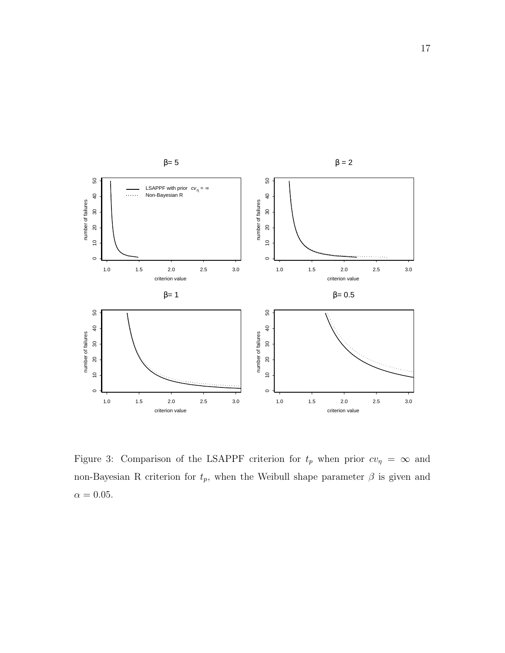

Figure 3: Comparison of the LSAPPF criterion for  $t_p$  when prior  $cv_\eta = \infty$  and non-Bayesian R criterion for  $t_p$ , when the Weibull shape parameter  $\beta$  is given and  $\alpha=0.05.$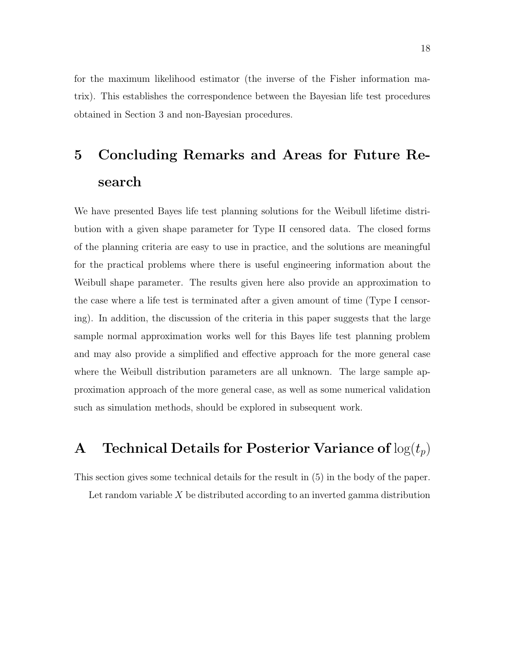for the maximum likelihood estimator (the inverse of the Fisher information matrix). This establishes the correspondence between the Bayesian life test procedures obtained in Section 3 and non-Bayesian procedures.

## **5 Concluding Remarks and Areas for Future Research**

We have presented Bayes life test planning solutions for the Weibull lifetime distribution with a given shape parameter for Type II censored data. The closed forms of the planning criteria are easy to use in practice, and the solutions are meaningful for the practical problems where there is useful engineering information about the Weibull shape parameter. The results given here also provide an approximation to the case where a life test is terminated after a given amount of time (Type I censoring). In addition, the discussion of the criteria in this paper suggests that the large sample normal approximation works well for this Bayes life test planning problem and may also provide a simplified and effective approach for the more general case where the Weibull distribution parameters are all unknown. The large sample approximation approach of the more general case, as well as some numerical validation such as simulation methods, should be explored in subsequent work.

## **A** Technical Details for Posterior Variance of  $log(t_p)$

This section gives some technical details for the result in (5) in the body of the paper.

Let random variable  $X$  be distributed according to an inverted gamma distribution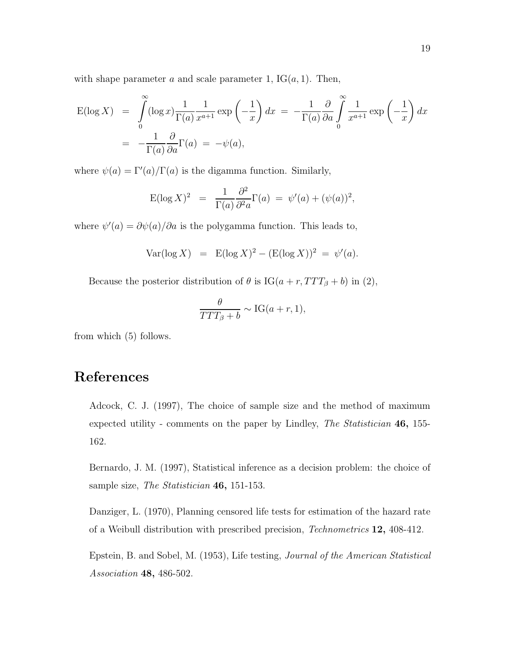with shape parameter a and scale parameter 1,  $IG(a, 1)$ . Then,

$$
\begin{split} \mathcal{E}(\log X) &= \int_{0}^{\infty} (\log x) \frac{1}{\Gamma(a)} \frac{1}{x^{a+1}} \exp\left(-\frac{1}{x}\right) dx = -\frac{1}{\Gamma(a)} \frac{\partial}{\partial a} \int_{0}^{\infty} \frac{1}{x^{a+1}} \exp\left(-\frac{1}{x}\right) dx \\ &= -\frac{1}{\Gamma(a)} \frac{\partial}{\partial a} \Gamma(a) = -\psi(a), \end{split}
$$

where  $\psi(a) = \Gamma'(a)/\Gamma(a)$  is the digamma function. Similarly,

$$
E(\log X)^2 = \frac{1}{\Gamma(a)} \frac{\partial^2}{\partial^2 a} \Gamma(a) = \psi'(a) + (\psi(a))^2,
$$

where  $\psi'(a) = \partial \psi(a)/\partial a$  is the polygamma function. This leads to,

$$
Var(\log X) = E(\log X)^{2} - (E(\log X))^{2} = \psi'(a).
$$

Because the posterior distribution of  $\theta$  is IG( $a + r$ ,  $TTT_{\beta} + b$ ) in (2),

$$
\frac{\theta}{TTT_{\beta}+b} \sim \text{IG}(a+r, 1),
$$

from which (5) follows.

## **References**

Adcock, C. J. (1997), The choice of sample size and the method of maximum expected utility - comments on the paper by Lindley, *The Statistician* **46,** 155- 162.

Bernardo, J. M. (1997), Statistical inference as a decision problem: the choice of sample size, *The Statistician* **46,** 151-153.

Danziger, L. (1970), Planning censored life tests for estimation of the hazard rate of a Weibull distribution with prescribed precision, *Technometrics* **12,** 408-412.

Epstein, B. and Sobel, M. (1953), Life testing, *Journal of the American Statistical Association* **48,** 486-502.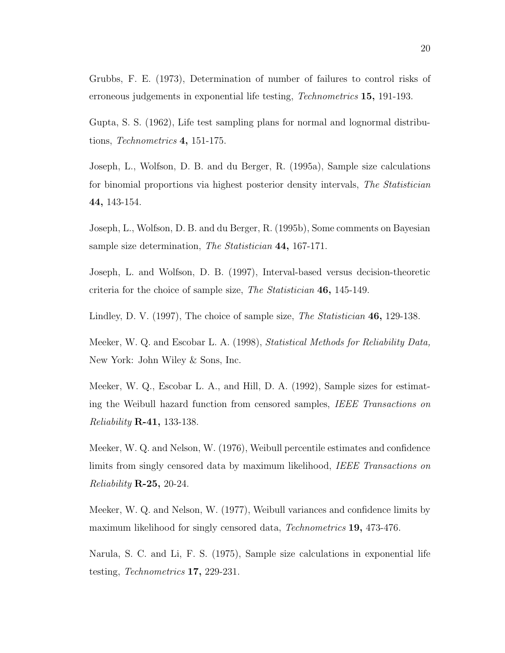Grubbs, F. E. (1973), Determination of number of failures to control risks of erroneous judgements in exponential life testing, *Technometrics* **15,** 191-193.

Gupta, S. S. (1962), Life test sampling plans for normal and lognormal distributions, *Technometrics* **4,** 151-175.

Joseph, L., Wolfson, D. B. and du Berger, R. (1995a), Sample size calculations for binomial proportions via highest posterior density intervals, *The Statistician* **44,** 143-154.

Joseph, L., Wolfson, D. B. and du Berger, R. (1995b), Some comments on Bayesian sample size determination, *The Statistician* **44,** 167-171.

Joseph, L. and Wolfson, D. B. (1997), Interval-based versus decision-theoretic criteria for the choice of sample size, *The Statistician* **46,** 145-149.

Lindley, D. V. (1997), The choice of sample size, *The Statistician* **46,** 129-138.

Meeker, W. Q. and Escobar L. A. (1998), *Statistical Methods for Reliability Data,* New York: John Wiley & Sons, Inc.

Meeker, W. Q., Escobar L. A., and Hill, D. A. (1992), Sample sizes for estimating the Weibull hazard function from censored samples, *IEEE Transactions on Reliability* **R-41,** 133-138.

Meeker, W. Q. and Nelson, W. (1976), Weibull percentile estimates and confidence limits from singly censored data by maximum likelihood, *IEEE Transactions on Reliability* **R-25,** 20-24.

Meeker, W. Q. and Nelson, W. (1977), Weibull variances and confidence limits by maximum likelihood for singly censored data, *Technometrics* **19,** 473-476.

Narula, S. C. and Li, F. S. (1975), Sample size calculations in exponential life testing, *Technometrics* **17,** 229-231.